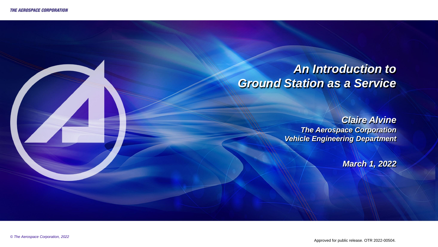### *An Introduction to Ground Station as a Service*

*Claire Alvine The Aerospace Corporation Vehicle Engineering Department*

*March 1, 2022*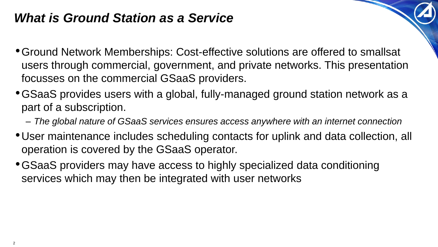## *What is Ground Station as a Service*

- •Ground Network Memberships: Cost-effective solutions are offered to smallsat users through commercial, government, and private networks. This presentation focusses on the commercial GSaaS providers.
- •GSaaS provides users with a global, fully-managed ground station network as a part of a subscription.
	- *The global nature of GSaaS services ensures access anywhere with an internet connection*
- •User maintenance includes scheduling contacts for uplink and data collection, all operation is covered by the GSaaS operator.
- •GSaaS providers may have access to highly specialized data conditioning services which may then be integrated with user networks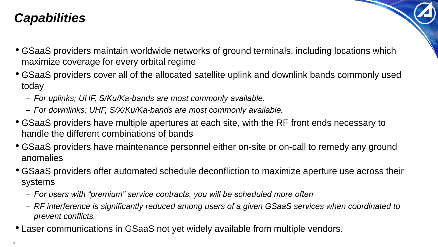## *Capabilities*

- GSaaS providers maintain worldwide networks of ground terminals, including locations which maximize coverage for every orbital regime
- GSaaS providers cover all of the allocated satellite uplink and downlink bands commonly used today
	- *For uplinks; UHF, S/Ku/Ka-bands are most commonly available.*
	- *For downlinks; UHF, S/X/Ku/Ka-bands are most commonly available.*
- GSaaS providers have multiple apertures at each site, with the RF front ends necessary to handle the different combinations of bands
- GSaaS providers have maintenance personnel either on-site or on-call to remedy any ground anomalies
- GSaaS providers offer automated schedule deconfliction to maximize aperture use across their systems
	- *For users with "premium" service contracts, you will be scheduled more often*
	- *RF interference is significantly reduced among users of a given GSaaS services when coordinated to prevent conflicts.*
- Laser communications in GSaaS not yet widely available from multiple vendors.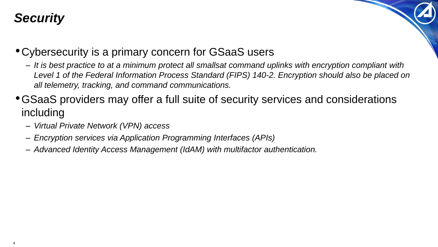# *Security*

- •Cybersecurity is a primary concern for GSaaS users
	- *It is best practice to at a minimum protect all smallsat command uplinks with encryption compliant with Level 1 of the Federal Information Process Standard (FIPS) 140-2. Encryption should also be placed on all telemetry, tracking, and command communications.*
- •GSaaS providers may offer a full suite of security services and considerations including
	- *Virtual Private Network (VPN) access*
	- *Encryption services via Application Programming Interfaces (APIs)*
	- *Advanced Identity Access Management (IdAM) with multifactor authentication.*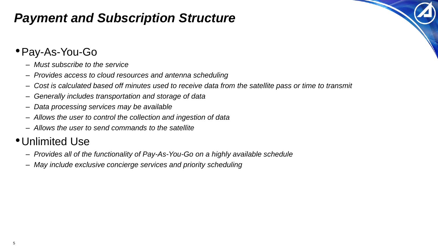## *Payment and Subscription Structure*

### •Pay-As-You-Go

- *Must subscribe to the service*
- *Provides access to cloud resources and antenna scheduling*
- *Cost is calculated based off minutes used to receive data from the satellite pass or time to transmit*
- *Generally includes transportation and storage of data*
- *Data processing services may be available*
- *Allows the user to control the collection and ingestion of data*
- *Allows the user to send commands to the satellite*

#### •Unlimited Use

- *Provides all of the functionality of Pay-As-You-Go on a highly available schedule*
- *May include exclusive concierge services and priority scheduling*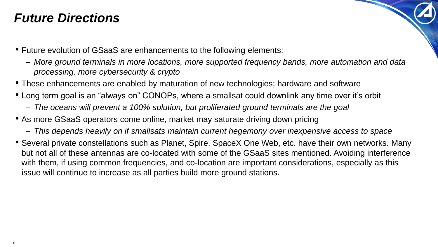### *Future Directions*

- Future evolution of GSaaS are enhancements to the following elements:
	- *More ground terminals in more locations, more supported frequency bands, more automation and data processing, more cybersecurity & crypto*
- These enhancements are enabled by maturation of new technologies; hardware and software
- Long term goal is an "always on" CONOPs, where a smallsat could downlink any time over it's orbit
	- *The oceans will prevent a 100% solution, but proliferated ground terminals are the goal*
- As more GSaaS operators come online, market may saturate driving down pricing
	- *This depends heavily on if smallsats maintain current hegemony over inexpensive access to space*
- Several private constellations such as Planet, Spire, SpaceX One Web, etc. have their own networks. Many but not all of these antennas are co-located with some of the GSaaS sites mentioned. Avoiding interference with them, if using common frequencies, and co-location are important considerations, especially as this issue will continue to increase as all parties build more ground stations.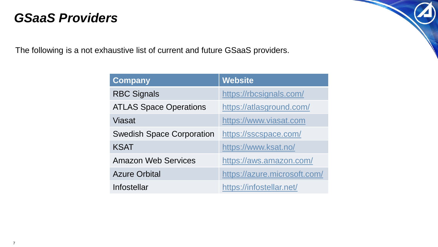### *GSaaS Providers*

The following is a not exhaustive list of current and future GSaaS providers.

| <b>Company</b>                   | <b>Website</b>               |
|----------------------------------|------------------------------|
| <b>RBC Signals</b>               | https://rbcsignals.com/      |
| <b>ATLAS Space Operations</b>    | https://atlasground.com/     |
| <b>Viasat</b>                    | https://www.viasat.com       |
| <b>Swedish Space Corporation</b> | https://sscspace.com/        |
| <b>KSAT</b>                      | https://www.ksat.no/         |
| <b>Amazon Web Services</b>       | https://aws.amazon.com/      |
| <b>Azure Orbital</b>             | https://azure.microsoft.com/ |
| Infostellar                      | https://infostellar.net/     |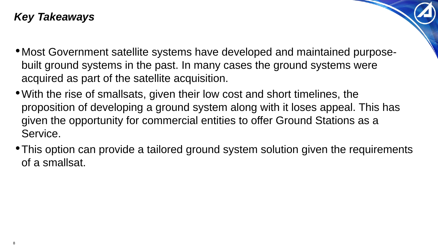### *Key Takeaways*

- •Most Government satellite systems have developed and maintained purposebuilt ground systems in the past. In many cases the ground systems were acquired as part of the satellite acquisition.
- •With the rise of smallsats, given their low cost and short timelines, the proposition of developing a ground system along with it loses appeal. This has given the opportunity for commercial entities to offer Ground Stations as a Service.
- •This option can provide a tailored ground system solution given the requirements of a smallsat.